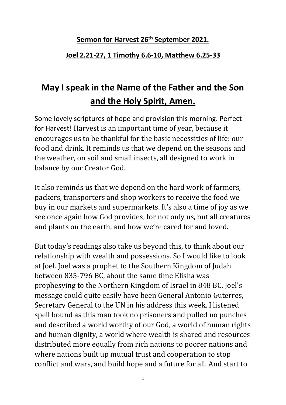## **Sermon for Harvest 26th September 2021.**

## **Joel 2.21-27, 1 Timothy 6.6-10, Matthew 6.25-33**

## **May I speak in the Name of the Father and the Son and the Holy Spirit, Amen.**

Some lovely scriptures of hope and provision this morning. Perfect for Harvest! Harvest is an important time of year, because it encourages us to be thankful for the basic necessities of life: our food and drink. It reminds us that we depend on the seasons and the weather, on soil and small insects, all designed to work in balance by our Creator God.

It also reminds us that we depend on the hard work of farmers, packers, transporters and shop workers to receive the food we buy in our markets and supermarkets. It's also a time of joy as we see once again how God provides, for not only us, but all creatures and plants on the earth, and how we're cared for and loved.

But today's readings also take us beyond this, to think about our relationship with wealth and possessions. So I would like to look at Joel. Joel was a prophet to the Southern Kingdom of Judah between 835-796 BC, about the same time Elisha was prophesying to the Northern Kingdom of Israel in 848 BC. Joel's message could quite easily have been General Antonio Guterres, Secretary General to the UN in his address this week. I listened spell bound as this man took no prisoners and pulled no punches and described a world worthy of our God, a world of human rights and human dignity, a world where wealth is shared and resources distributed more equally from rich nations to poorer nations and where nations built up mutual trust and cooperation to stop conflict and wars, and build hope and a future for all. And start to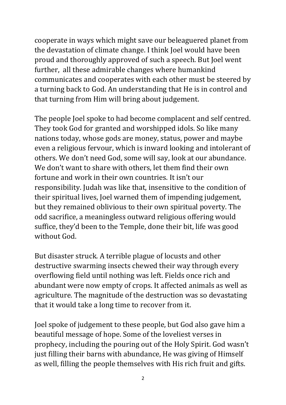cooperate in ways which might save our beleaguered planet from the devastation of climate change. I think Joel would have been proud and thoroughly approved of such a speech. But Joel went further, all these admirable changes where humankind communicates and cooperates with each other must be steered by a turning back to God. An understanding that He is in control and that turning from Him will bring about judgement.

The people Joel spoke to had become complacent and self centred. They took God for granted and worshipped idols. So like many nations today, whose gods are money, status, power and maybe even a religious fervour, which is inward looking and intolerant of others. We don't need God, some will say, look at our abundance. We don't want to share with others, let them find their own fortune and work in their own countries. It isn't our responsibility. Judah was like that, insensitive to the condition of their spiritual lives, Joel warned them of impending judgement, but they remained oblivious to their own spiritual poverty. The odd sacrifice, a meaningless outward religious offering would suffice, they'd been to the Temple, done their bit, life was good without God.

But disaster struck. A terrible plague of locusts and other destructive swarming insects chewed their way through every overflowing field until nothing was left. Fields once rich and abundant were now empty of crops. It affected animals as well as agriculture. The magnitude of the destruction was so devastating that it would take a long time to recover from it.

Joel spoke of judgement to these people, but God also gave him a beautiful message of hope. Some of the loveliest verses in prophecy, including the pouring out of the Holy Spirit. God wasn't just filling their barns with abundance, He was giving of Himself as well, filling the people themselves with His rich fruit and gifts.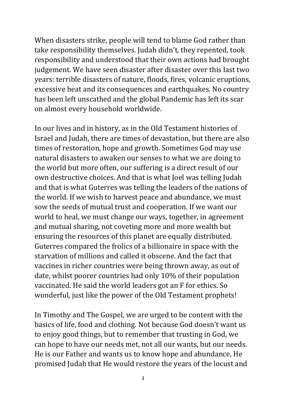When disasters strike, people will tend to blame God rather than take responsibility themselves. Judah didn't, they repented, took responsibility and understood that their own actions had brought judgement. We have seen disaster after disaster over this last two years: terrible disasters of nature, floods, fires, volcanic eruptions, excessive heat and its consequences and earthquakes. No country has been left unscathed and the global Pandemic has left its scar on almost every household worldwide.

In our lives and in history, as in the Old Testament histories of Israel and Judah, there are times of devastation, but there are also times of restoration, hope and growth. Sometimes God may use natural disasters to awaken our senses to what we are doing to the world but more often, our suffering is a direct result of our own destructive choices. And that is what Joel was telling Judah and that is what Guterres was telling the leaders of the nations of the world. If we wish to harvest peace and abundance, we must sow the seeds of mutual trust and cooperation. If we want our world to heal, we must change our ways, together, in agreement and mutual sharing, not coveting more and more wealth but ensuring the resources of this planet are equally distributed. Guterres compared the frolics of a billionaire in space with the starvation of millions and called it obscene. And the fact that vaccines in richer countries were being thrown away, as out of date, whilst poorer countries had only 10% of their population vaccinated. He said the world leaders got an F for ethics. So wonderful, just like the power of the Old Testament prophets!

In Timothy and The Gospel, we are urged to be content with the basics of life, food and clothing. Not because God doesn't want us to enjoy good things, but to remember that trusting in God, we can hope to have our needs met, not all our wants, but our needs. He is our Father and wants us to know hope and abundance, He promised Judah that He would restore the years of the locust and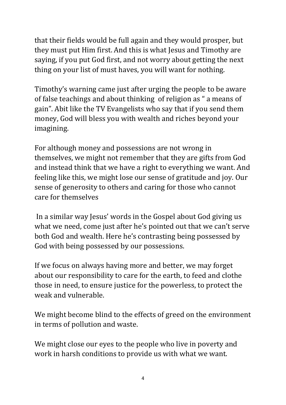that their fields would be full again and they would prosper, but they must put Him first. And this is what Jesus and Timothy are saying, if you put God first, and not worry about getting the next thing on your list of must haves, you will want for nothing.

Timothy's warning came just after urging the people to be aware of false teachings and about thinking of religion as " a means of gain". Abit like the TV Evangelists who say that if you send them money, God will bless you with wealth and riches beyond your imagining.

For although money and possessions are not wrong in themselves, we might not remember that they are gifts from God and instead think that we have a right to everything we want. And feeling like this, we might lose our sense of gratitude and joy. Our sense of generosity to others and caring for those who cannot care for themselves

In a similar way Jesus' words in the Gospel about God giving us what we need, come just after he's pointed out that we can't serve both God and wealth. Here he's contrasting being possessed by God with being possessed by our possessions.

If we focus on always having more and better, we may forget about our responsibility to care for the earth, to feed and clothe those in need, to ensure justice for the powerless, to protect the weak and vulnerable.

We might become blind to the effects of greed on the environment in terms of pollution and waste.

We might close our eyes to the people who live in poverty and work in harsh conditions to provide us with what we want.